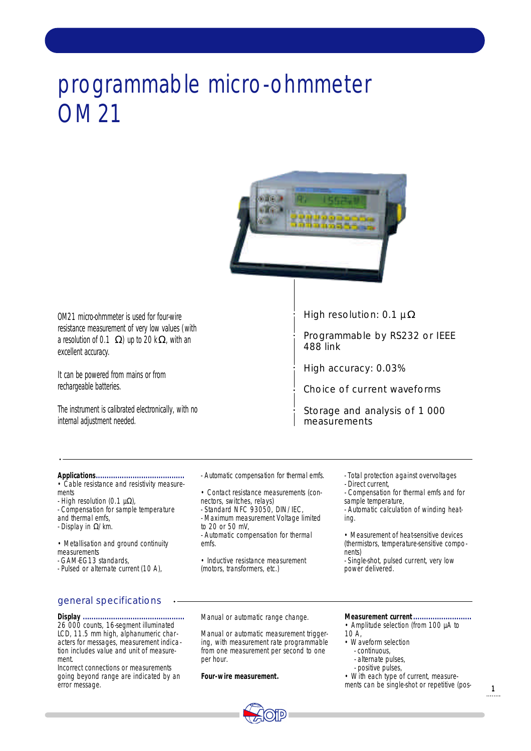# programmable micro-ohmmeter OM 21



OM21 micro-ohmmeter is used for four-wire resistance measurement of very low values (with a resolution of  $0.1$  ) up to  $20 \text{ k}$ , with an excellent accuracy.

It can be powered from mains or from rechargeable batteries.

The instrument is calibrated electronically, with no internal adjustment needed.

High resolution: 0.1 µ

Programmable by RS232 or IEEE 488 link

High accuracy: 0.03%

Choice of current waveforms

Storage and analysis of 1 000 measurements

- **Applications.........................................**
- Cable resistance and resistivity measurements
- $-$  High resolution (0.1  $\mu$ ),
- Compensation for sample temperature and thermal emfs,
- Display in /km.
- Metallisation and ground continuity measurements
- GAM-EG13 standards,
- Pulsed or alternate current (10 A),

# general specifications

**Display ...............................................** 26 000 counts, 16-segment illuminated LCD, 11.5 mm high, alphanumeric characters for messages, measurement indication includes value and unit of measurement.

Incorrect connections or measurements going beyond range are indicated by an error message.

- Automatic compensation for thermal emfs.

- Contact resistance measurements (con-
- nectors, switches, relays) - Standard NFC 93050, DIN/IEC,
- Maximum measurement Voltage limited to 20 or 50 mV,
- Automatic compensation for thermal emfs.
- Inductive resistance measurement (motors, transformers, etc.)
- Total protection against overvoltages - Direct current, - Compensation for thermal emfs and for
- sample temperature,

- Automatic calculation of winding heating.

- Measurement of heat-sensitive devices (thermistors, temperature-sensitive components)
- Single-shot, pulsed current, very low power delivered.
- 

Manual or automatic range change.

Manual or automatic measurement triggering, with measurement rate programmable from one measurement per second to one per hour.

**Four-wire measurement.**



**Measurement current...........................** • Amplitude selection (from 100 µA to

- $10 \text{ A}$ .
- Waveform selection
	- continuous, - alternate pulses,
	- positive pulses,
- With each type of current, measure-
- ments can be single-shot or repetitive (pos-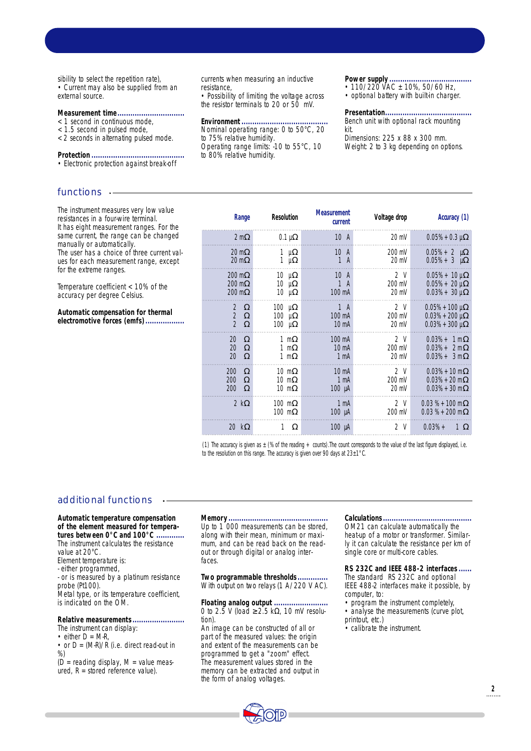sibility to select the repetition rate), • Current may also be supplied from an external source.

#### **Measurement time...............................**

# < 1 second in continuous mode,

- < 1.5 second in pulsed mode,
- < 2 seconds in alternating pulsed mode.

**Protection ...........................................**

• Electronic protection against break-off

# functions --

The instrument measures very low value resistances in a four-wire terminal. It has eight measurement ranges. For the same current, the range can be changed manually or automatically. The user has a choice of three current values for each measurement range, except for the extreme ranges.

Temperature coefficient < 10% of the accuracy per degree Celsius.

**Automatic compensation for thermal electromotive forces (emfs)..................** currents when measuring an inductive resistance,

• Possibility of limiting the voltage across the resistor terminals to 20 or 50 mV.

**Environment........................................**

Nominal operating range: 0 to 50°C, 20 to 75% relative humidity. Operating range limits: -10 to 55°C, 10

to 80% relative humidity.

**Power supply ......................................**

• 110/220  $\sqrt{AC}$  ± 10%, 50/60 Hz,

• optional battery with built-in charger.

#### Presentation....

Bench unit with optional rack mounting kit.

Dimensions: 225 x 88 x 300 mm. Weight: 2 to 3 kg depending on options.

| Range                                                  | <b>Resolution</b>                                    | <b>Measurement</b><br>current                                 | Voltage drop                    | Accuracy (1)                                                  |
|--------------------------------------------------------|------------------------------------------------------|---------------------------------------------------------------|---------------------------------|---------------------------------------------------------------|
| 2 <sub>m</sub>                                         | $0.1 \mu$                                            | 10 <sub>A</sub>                                               | $20 \text{ mV}$                 | $0.05% + 0.3 \mu$                                             |
| 20 <sub>m</sub><br>20 <sub>m</sub>                     | 1<br>$\mu$<br>1<br>$\mu$                             | 10A<br>$\mathbf{1}$<br>$\overline{A}$                         | 200 mV<br>20 mV                 | $0.05% + 2 \mu$<br>$0.05% + 3 \mu$                            |
| $200 \text{ m}$<br>200 <sub>m</sub><br>$200 \text{ m}$ | $10 \mu$<br>10 μ<br>$10 \mu$                         | 10<br>A<br>$\mathbf{1}$<br>$\overline{A}$<br>$100 \text{ mA}$ | 2V<br>200 mV<br>$20 \text{ mV}$ | $0.05% + 10 \,\mu$<br>$0.05% + 20 \mu$<br>$0.03% + 30 \mu$    |
| 2<br>$\overline{2}$<br>$\overline{2}$                  | $100$ µ<br>$100$ $\mu$<br>$100$ $\mu$                | 1A<br>100 mA<br>$10 \text{ mA}$                               | 2V<br>200 mV<br>$20 \text{ mV}$ | $0.05% + 100 \mu$<br>$0.03% + 200 \,\mu$<br>$0.03% + 300 \mu$ |
| 20<br>20<br>20                                         | 1 <sub>m</sub><br>1 <sub>m</sub><br>1 <sub>m</sub>   | 100 mA<br>$10 \text{ mA}$<br>$1 \text{ mA}$                   | 2V<br>200 mV<br>20 mV           | $0.03% + 1 m$<br>$0.03% + 2m$<br>$0.03% + 3m$                 |
| 200<br>200<br>200                                      | $10 \text{ m}$<br>10 <sub>m</sub><br>10 <sub>m</sub> | 10 <sub>m</sub><br>1 <sub>m</sub> A<br>$100 \mu A$            | 2V<br>200 mV<br>$20 \text{ mV}$ | $0.03% + 10$ m<br>$0.03% + 20$ m<br>$0.03% + 30$ m            |
| 2k                                                     | $100$ m<br>$100$ m                                   | $1 \text{ mA}$<br>$100 \mu A$                                 | 2V<br>200 mV                    | $0.03\% + 100\text{ m}$<br>$0.03\% + 200\text{ m}$            |
| 20 k                                                   | 1                                                    | $100 \mu A$                                                   | 2 V                             | $0.03% +$<br>1                                                |

(1) The accuracy is given as  $\pm$  (% of the reading  $+$  counts). The count corresponds to the value of the last figure displayed, i.e. to the resolution on this range. The accuracy is given over 90 days at  $23\pm1^{\circ}$ C.

## additional functions

**Automatic temperature compensation of the element measured for tempera**tures between 0°C and 100°C. The instrument calculates the resistance value at 20°C. Element temperature is:

- either programmed,

- or is measured by a platinum resistance probe (Pt100). Metal type, or its temperature coefficient,

is indicated on the OM.

**Relative measurements........................** The instrument can display: • either  $D = M-R$ ,

• or  $D = (M-R)/R$  (i.e. direct read-out in %)

(D = reading display, M = value meas $u$ red,  $R =$  stored reference value).

#### **Memory..............................................**

Up to 1 000 measurements can be stored, along with their mean, minimum or maximum, and can be read back on the readout or through digital or analog interfaces.

Two programmable thresholds... With output on two relays (1 A/220 V AC).

**Floating analog output .........................** 0 to 2.5 V (load 2.5 k , 10 mV resolution).

An image can be constructed of all or part of the measured values: the origin and extent of the measurements can be programmed to get a "zoom" effect. The measurement values stored in the memory can be extracted and output in the form of analog voltages.

#### **Calculations.........................................**

OM21 can calculate automatically the heat-up of a motor or transformer. Similarly it can calculate the resistance per km of single core or multi-core cables.

RS 232C and IEEE 488-2 interfaces... The standard RS 232C and optional IEEE 488-2 interfaces make it possible, by computer, to:

- program the instrument completely, • analyse the measurements (curve plot,
- printout, etc.)

• calibrate the instrument.